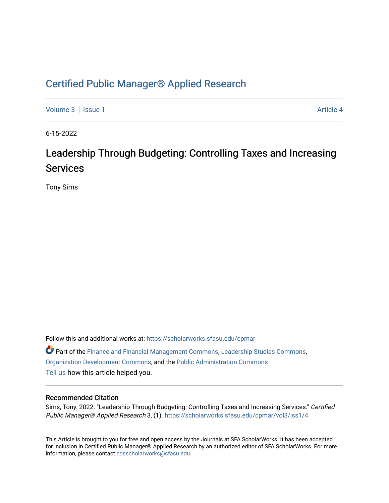# [Certified Public Manager® Applied Research](https://scholarworks.sfasu.edu/cpmar)

[Volume 3](https://scholarworks.sfasu.edu/cpmar/vol3) | [Issue 1](https://scholarworks.sfasu.edu/cpmar/vol3/iss1) Article 4

6-15-2022

# Leadership Through Budgeting: Controlling Taxes and Increasing Services

Tony Sims

Follow this and additional works at: [https://scholarworks.sfasu.edu/cpmar](https://scholarworks.sfasu.edu/cpmar?utm_source=scholarworks.sfasu.edu%2Fcpmar%2Fvol3%2Fiss1%2F4&utm_medium=PDF&utm_campaign=PDFCoverPages)  Part of the [Finance and Financial Management Commons,](https://network.bepress.com/hgg/discipline/631?utm_source=scholarworks.sfasu.edu%2Fcpmar%2Fvol3%2Fiss1%2F4&utm_medium=PDF&utm_campaign=PDFCoverPages) [Leadership Studies Commons,](https://network.bepress.com/hgg/discipline/1250?utm_source=scholarworks.sfasu.edu%2Fcpmar%2Fvol3%2Fiss1%2F4&utm_medium=PDF&utm_campaign=PDFCoverPages) [Organization Development Commons,](https://network.bepress.com/hgg/discipline/1242?utm_source=scholarworks.sfasu.edu%2Fcpmar%2Fvol3%2Fiss1%2F4&utm_medium=PDF&utm_campaign=PDFCoverPages) and the [Public Administration Commons](https://network.bepress.com/hgg/discipline/398?utm_source=scholarworks.sfasu.edu%2Fcpmar%2Fvol3%2Fiss1%2F4&utm_medium=PDF&utm_campaign=PDFCoverPages)  [Tell us](http://sfasu.qualtrics.com/SE/?SID=SV_0qS6tdXftDLradv) how this article helped you.

#### Recommended Citation

Sims, Tony. 2022. "Leadership Through Budgeting: Controlling Taxes and Increasing Services." Certified Public Manager® Applied Research 3, (1). [https://scholarworks.sfasu.edu/cpmar/vol3/iss1/4](https://scholarworks.sfasu.edu/cpmar/vol3/iss1/4?utm_source=scholarworks.sfasu.edu%2Fcpmar%2Fvol3%2Fiss1%2F4&utm_medium=PDF&utm_campaign=PDFCoverPages)

This Article is brought to you for free and open access by the Journals at SFA ScholarWorks. It has been accepted for inclusion in Certified Public Manager® Applied Research by an authorized editor of SFA ScholarWorks. For more information, please contact [cdsscholarworks@sfasu.edu](mailto:cdsscholarworks@sfasu.edu).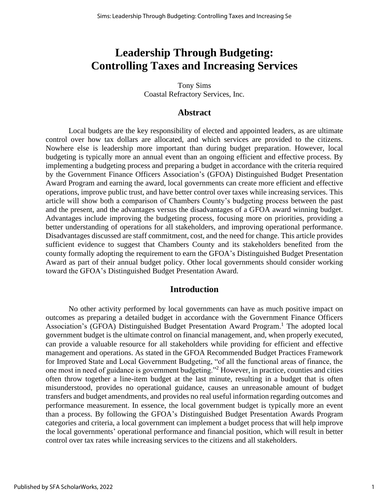# **Leadership Through Budgeting: Controlling Taxes and Increasing Services**

Tony Sims Coastal Refractory Services, Inc.

## **Abstract**

Local budgets are the key responsibility of elected and appointed leaders, as are ultimate control over how tax dollars are allocated, and which services are provided to the citizens. Nowhere else is leadership more important than during budget preparation. However, local budgeting is typically more an annual event than an ongoing efficient and effective process. By implementing a budgeting process and preparing a budget in accordance with the criteria required by the Government Finance Officers Association's (GFOA) Distinguished Budget Presentation Award Program and earning the award, local governments can create more efficient and effective operations, improve public trust, and have better control over taxes while increasing services. This article will show both a comparison of Chambers County's budgeting process between the past and the present, and the advantages versus the disadvantages of a GFOA award winning budget. Advantages include improving the budgeting process, focusing more on priorities, providing a better understanding of operations for all stakeholders, and improving operational performance. Disadvantages discussed are staff commitment, cost, and the need for change. This article provides sufficient evidence to suggest that Chambers County and its stakeholders benefited from the county formally adopting the requirement to earn the GFOA's Distinguished Budget Presentation Award as part of their annual budget policy. Other local governments should consider working toward the GFOA's Distinguished Budget Presentation Award.

## **Introduction**

No other activity performed by local governments can have as much positive impact on outcomes as preparing a detailed budget in accordance with the Government Finance Officers Association's (GFOA) Distinguished Budget Presentation Award Program.<sup>1</sup> The adopted local government budget is the ultimate control on financial management, and, when properly executed, can provide a valuable resource for all stakeholders while providing for efficient and effective management and operations. As stated in the GFOA Recommended Budget Practices Framework for Improved State and Local Government Budgeting, "of all the functional areas of finance, the one most in need of guidance is government budgeting."<sup>2</sup> However, in practice, counties and cities often throw together a line-item budget at the last minute, resulting in a budget that is often misunderstood, provides no operational guidance, causes an unreasonable amount of budget transfers and budget amendments, and provides no real useful information regarding outcomes and performance measurement. In essence, the local government budget is typically more an event than a process. By following the GFOA's Distinguished Budget Presentation Awards Program categories and criteria, a local government can implement a budget process that will help improve the local governments' operational performance and financial position, which will result in better control over tax rates while increasing services to the citizens and all stakeholders.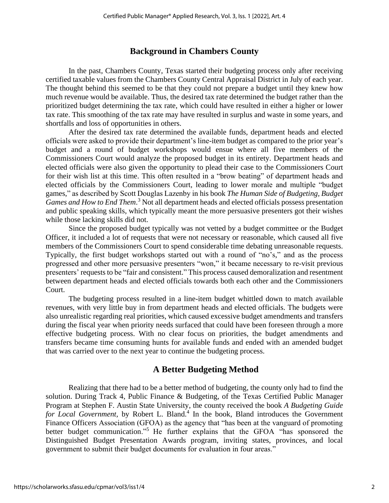# **Background in Chambers County**

In the past, Chambers County, Texas started their budgeting process only after receiving certified taxable values from the Chambers County Central Appraisal District in July of each year. The thought behind this seemed to be that they could not prepare a budget until they knew how much revenue would be available. Thus, the desired tax rate determined the budget rather than the prioritized budget determining the tax rate, which could have resulted in either a higher or lower tax rate. This smoothing of the tax rate may have resulted in surplus and waste in some years, and shortfalls and loss of opportunities in others.

After the desired tax rate determined the available funds, department heads and elected officials were asked to provide their department's line-item budget as compared to the prior year's budget and a round of budget workshops would ensue where all five members of the Commissioners Court would analyze the proposed budget in its entirety. Department heads and elected officials were also given the opportunity to plead their case to the Commissioners Court for their wish list at this time. This often resulted in a "brow beating" of department heads and elected officials by the Commissioners Court, leading to lower morale and multiple "budget games," as described by Scott Douglas Lazenby in his book *The Human Side of Budgeting, Budget Games and How to End Them*. <sup>3</sup> Not all department heads and elected officials possess presentation and public speaking skills, which typically meant the more persuasive presenters got their wishes while those lacking skills did not.

Since the proposed budget typically was not vetted by a budget committee or the Budget Officer, it included a lot of requests that were not necessary or reasonable, which caused all five members of the Commissioners Court to spend considerable time debating unreasonable requests. Typically, the first budget workshops started out with a round of "no's," and as the process progressed and other more persuasive presenters "won," it became necessary to re-visit previous presenters' requests to be "fair and consistent." This process caused demoralization and resentment between department heads and elected officials towards both each other and the Commissioners Court.

The budgeting process resulted in a line-item budget whittled down to match available revenues, with very little buy in from department heads and elected officials. The budgets were also unrealistic regarding real priorities, which caused excessive budget amendments and transfers during the fiscal year when priority needs surfaced that could have been foreseen through a more effective budgeting process. With no clear focus on priorities, the budget amendments and transfers became time consuming hunts for available funds and ended with an amended budget that was carried over to the next year to continue the budgeting process.

# **A Better Budgeting Method**

Realizing that there had to be a better method of budgeting, the county only had to find the solution. During Track 4, Public Finance & Budgeting, of the Texas Certified Public Manager Program at Stephen F. Austin State University, the county received the book *A Budgeting Guide*  for Local Government, by Robert L. Bland.<sup>4</sup> In the book, Bland introduces the Government Finance Officers Association (GFOA) as the agency that "has been at the vanguard of promoting better budget communication."<sup>5</sup> He further explains that the GFOA "has sponsored the Distinguished Budget Presentation Awards program, inviting states, provinces, and local government to submit their budget documents for evaluation in four areas."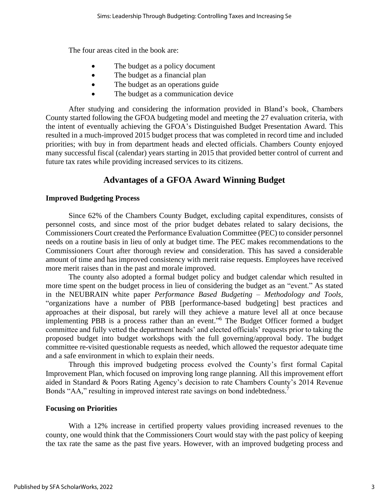The four areas cited in the book are:

- The budget as a policy document
- The budget as a financial plan
- The budget as an operations guide
- The budget as a communication device

After studying and considering the information provided in Bland's book, Chambers County started following the GFOA budgeting model and meeting the 27 evaluation criteria, with the intent of eventually achieving the GFOA's Distinguished Budget Presentation Award. This resulted in a much-improved 2015 budget process that was completed in record time and included priorities; with buy in from department heads and elected officials. Chambers County enjoyed many successful fiscal (calendar) years starting in 2015 that provided better control of current and future tax rates while providing increased services to its citizens.

# **Advantages of a GFOA Award Winning Budget**

#### **Improved Budgeting Process**

Since 62% of the Chambers County Budget, excluding capital expenditures, consists of personnel costs, and since most of the prior budget debates related to salary decisions, the Commissioners Court created the Performance Evaluation Committee (PEC) to consider personnel needs on a routine basis in lieu of only at budget time. The PEC makes recommendations to the Commissioners Court after thorough review and consideration. This has saved a considerable amount of time and has improved consistency with merit raise requests. Employees have received more merit raises than in the past and morale improved.

The county also adopted a formal budget policy and budget calendar which resulted in more time spent on the budget process in lieu of considering the budget as an "event." As stated in the NEUBRAIN white paper *Performance Based Budgeting – Methodology and Tools,* "organizations have a number of PBB [performance-based budgeting] best practices and approaches at their disposal, but rarely will they achieve a mature level all at once because implementing PBB is a process rather than an event." <sup>6</sup> The Budget Officer formed a budget committee and fully vetted the department heads' and elected officials' requests prior to taking the proposed budget into budget workshops with the full governing/approval body. The budget committee re-visited questionable requests as needed, which allowed the requestor adequate time and a safe environment in which to explain their needs.

Through this improved budgeting process evolved the County's first formal Capital Improvement Plan, which focused on improving long range planning. All this improvement effort aided in Standard & Poors Rating Agency's decision to rate Chambers County's 2014 Revenue Bonds "AA," resulting in improved interest rate savings on bond indebtedness.<sup>7</sup>

#### **Focusing on Priorities**

With a 12% increase in certified property values providing increased revenues to the county, one would think that the Commissioners Court would stay with the past policy of keeping the tax rate the same as the past five years. However, with an improved budgeting process and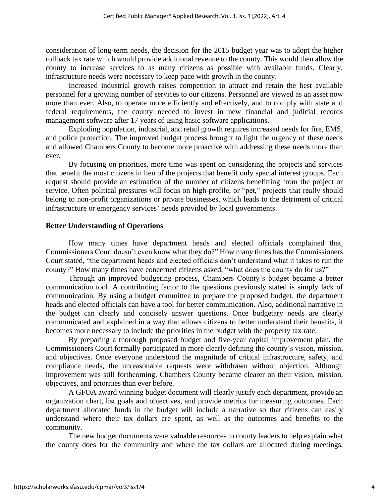consideration of long-term needs, the decision for the 2015 budget year was to adopt the higher rollback tax rate which would provide additional revenue to the county. This would then allow the county to increase services to as many citizens as possible with available funds. Clearly, infrastructure needs were necessary to keep pace with growth in the county.

Increased industrial growth raises competition to attract and retain the best available personnel for a growing number of services to our citizens. Personnel are viewed as an asset now more than ever. Also, to operate more efficiently and effectively, and to comply with state and federal requirements, the county needed to invest in new financial and judicial records management software after 17 years of using basic software applications.

Exploding population, industrial, and retail growth requires increased needs for fire, EMS, and police protection. The improved budget process brought to light the urgency of these needs and allowed Chambers County to become more proactive with addressing these needs more than ever.

By focusing on priorities, more time was spent on considering the projects and services that benefit the most citizens in lieu of the projects that benefit only special interest groups. Each request should provide an estimation of the number of citizens benefitting from the project or service. Often political pressures will focus on high-profile, or "pet," projects that really should belong to non-profit organizations or private businesses, which leads to the detriment of critical infrastructure or emergency services' needs provided by local governments.

## **Better Understanding of Operations**

How many times have department heads and elected officials complained that, Commissioners Court doesn't even know what they do?" How many times has the Commissioners Court stated, "the department heads and elected officials don't understand what it takes to run the county?" How many times have concerned citizens asked, "what does the county do for us?"

Through an improved budgeting process, Chambers County's budget became a better communication tool. A contributing factor to the questions previously stated is simply lack of communication. By using a budget committee to prepare the proposed budget, the department heads and elected officials can have a tool for better communication. Also, additional narrative in the budget can clearly and concisely answer questions. Once budgetary needs are clearly communicated and explained in a way that allows citizens to better understand their benefits, it becomes more necessary to include the priorities in the budget with the property tax rate.

By preparing a thorough proposed budget and five-year capital improvement plan, the Commissioners Court formally participated in more clearly defining the county's vision, mission, and objectives. Once everyone understood the magnitude of critical infrastructure, safety, and compliance needs, the unreasonable requests were withdrawn without objection. Although improvement was still forthcoming, Chambers County became clearer on their vision, mission, objectives, and priorities than ever before.

A GFOA award winning budget document will clearly justify each department, provide an organization chart, list goals and objectives, and provide metrics for measuring outcomes. Each department allocated funds in the budget will include a narrative so that citizens can easily understand where their tax dollars are spent, as well as the outcomes and benefits to the community.

The new budget documents were valuable resources to county leaders to help explain what the county does for the community and where the tax dollars are allocated during meetings,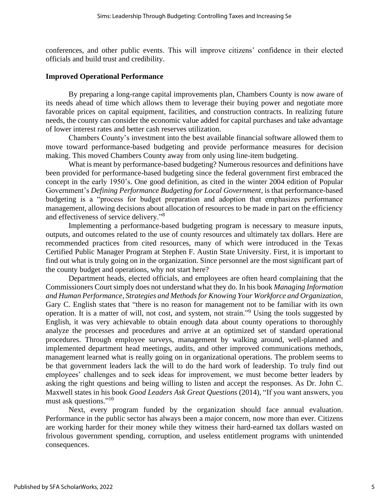conferences, and other public events. This will improve citizens' confidence in their elected officials and build trust and credibility.

### **Improved Operational Performance**

By preparing a long-range capital improvements plan, Chambers County is now aware of its needs ahead of time which allows them to leverage their buying power and negotiate more favorable prices on capital equipment, facilities, and construction contracts. In realizing future needs, the county can consider the economic value added for capital purchases and take advantage of lower interest rates and better cash reserves utilization.

Chambers County's investment into the best available financial software allowed them to move toward performance-based budgeting and provide performance measures for decision making. This moved Chambers County away from only using line-item budgeting.

What is meant by performance-based budgeting? Numerous resources and definitions have been provided for performance-based budgeting since the federal government first embraced the concept in the early 1950's. One good definition, as cited in the winter 2004 edition of Popular Government's *Defining Performance Budgeting for Local Government,* is that performance-based budgeting is a "process for budget preparation and adoption that emphasizes performance management, allowing decisions about allocation of resources to be made in part on the efficiency and effectiveness of service delivery." 8

Implementing a performance-based budgeting program is necessary to measure inputs, outputs, and outcomes related to the use of county resources and ultimately tax dollars. Here are recommended practices from cited resources, many of which were introduced in the Texas Certified Public Manager Program at Stephen F. Austin State University. First, it is important to find out what is truly going on in the organization. Since personnel are the most significant part of the county budget and operations, why not start here?

Department heads, elected officials, and employees are often heard complaining that the Commissioners Court simply does not understand what they do. In his book *Managing Information and Human Performance, Strategies and Methods for Knowing Your Workforce and Organization*, Gary C. English states that "there is no reason for management not to be familiar with its own operation. It is a matter of will, not cost, and system, not strain."<sup>9</sup> Using the tools suggested by English, it was very achievable to obtain enough data about county operations to thoroughly analyze the processes and procedures and arrive at an optimized set of standard operational procedures. Through employee surveys, management by walking around, well-planned and implemented department head meetings, audits, and other improved communications methods, management learned what is really going on in organizational operations. The problem seems to be that government leaders lack the will to do the hard work of leadership. To truly find out employees' challenges and to seek ideas for improvement, we must become better leaders by asking the right questions and being willing to listen and accept the responses. As Dr. John C. Maxwell states in his book *Good Leaders Ask Great Questions* (2014)*,* "If you want answers, you must ask questions."<sup>10</sup>

Next, every program funded by the organization should face annual evaluation. Performance in the public sector has always been a major concern, now more than ever. Citizens are working harder for their money while they witness their hard-earned tax dollars wasted on frivolous government spending, corruption, and useless entitlement programs with unintended consequences.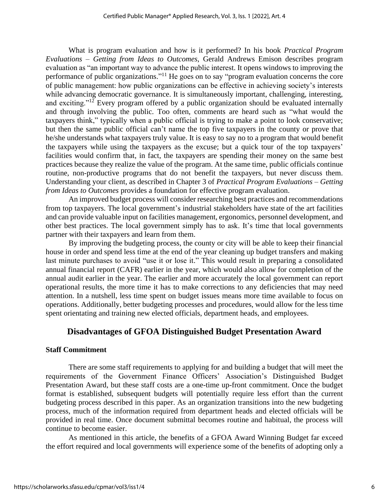What is program evaluation and how is it performed? In his book *Practical Program Evaluations – Getting from Ideas to Outcomes*, Gerald Andrews Emison describes program evaluation as "an important way to advance the public interest. It opens windows to improving the performance of public organizations."<sup>11</sup> He goes on to say "program evaluation concerns the core of public management: how public organizations can be effective in achieving society's interests while advancing democratic governance. It is simultaneously important, challenging, interesting, and exciting."<sup>12</sup> Every program offered by a public organization should be evaluated internally and through involving the public. Too often, comments are heard such as "what would the taxpayers think," typically when a public official is trying to make a point to look conservative; but then the same public official can't name the top five taxpayers in the county or prove that he/she understands what taxpayers truly value. It is easy to say no to a program that would benefit the taxpayers while using the taxpayers as the excuse; but a quick tour of the top taxpayers' facilities would confirm that, in fact, the taxpayers are spending their money on the same best practices because they realize the value of the program. At the same time, public officials continue routine, non-productive programs that do not benefit the taxpayers, but never discuss them. Understanding your client, as described in Chapter 3 of *Practical Program Evaluations – Getting from Ideas to Outcomes* provides a foundation for effective program evaluation.

An improved budget process will consider researching best practices and recommendations from top taxpayers. The local government's industrial stakeholders have state of the art facilities and can provide valuable input on facilities management, ergonomics, personnel development, and other best practices. The local government simply has to ask. It's time that local governments partner with their taxpayers and learn from them.

By improving the budgeting process, the county or city will be able to keep their financial house in order and spend less time at the end of the year cleaning up budget transfers and making last minute purchases to avoid "use it or lose it." This would result in preparing a consolidated annual financial report (CAFR) earlier in the year, which would also allow for completion of the annual audit earlier in the year. The earlier and more accurately the local government can report operational results, the more time it has to make corrections to any deficiencies that may need attention. In a nutshell, less time spent on budget issues means more time available to focus on operations. Additionally, better budgeting processes and procedures, would allow for the less time spent orientating and training new elected officials, department heads, and employees.

# **Disadvantages of GFOA Distinguished Budget Presentation Award**

## **Staff Commitment**

There are some staff requirements to applying for and building a budget that will meet the requirements of the Government Finance Officers' Association's Distinguished Budget Presentation Award, but these staff costs are a one-time up-front commitment. Once the budget format is established, subsequent budgets will potentially require less effort than the current budgeting process described in this paper. As an organization transitions into the new budgeting process, much of the information required from department heads and elected officials will be provided in real time. Once document submittal becomes routine and habitual, the process will continue to become easier.

As mentioned in this article, the benefits of a GFOA Award Winning Budget far exceed the effort required and local governments will experience some of the benefits of adopting only a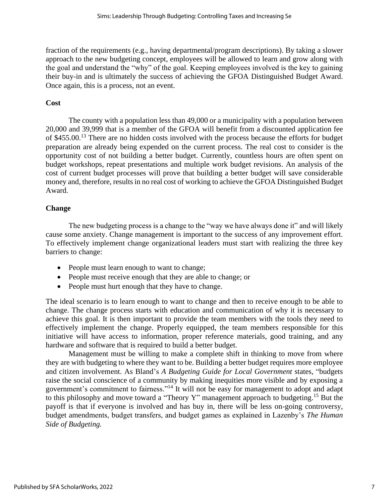fraction of the requirements (e.g., having departmental/program descriptions). By taking a slower approach to the new budgeting concept, employees will be allowed to learn and grow along with the goal and understand the "why" of the goal. Keeping employees involved is the key to gaining their buy-in and is ultimately the success of achieving the GFOA Distinguished Budget Award. Once again, this is a process, not an event.

## **Cost**

The county with a population less than 49,000 or a municipality with a population between 20,000 and 39,999 that is a member of the GFOA will benefit from a discounted application fee of \$455.00.<sup>13</sup> There are no hidden costs involved with the process because the efforts for budget preparation are already being expended on the current process. The real cost to consider is the opportunity cost of not building a better budget. Currently, countless hours are often spent on budget workshops, repeat presentations and multiple work budget revisions. An analysis of the cost of current budget processes will prove that building a better budget will save considerable money and, therefore, results in no real cost of working to achieve the GFOA Distinguished Budget Award.

## **Change**

The new budgeting process is a change to the "way we have always done it" and will likely cause some anxiety. Change management is important to the success of any improvement effort. To effectively implement change organizational leaders must start with realizing the three key barriers to change:

- People must learn enough to want to change;
- People must receive enough that they are able to change; or
- People must hurt enough that they have to change.

The ideal scenario is to learn enough to want to change and then to receive enough to be able to change. The change process starts with education and communication of why it is necessary to achieve this goal. It is then important to provide the team members with the tools they need to effectively implement the change. Properly equipped, the team members responsible for this initiative will have access to information, proper reference materials, good training, and any hardware and software that is required to build a better budget.

Management must be willing to make a complete shift in thinking to move from where they are with budgeting to where they want to be. Building a better budget requires more employee and citizen involvement. As Bland's *A Budgeting Guide for Local Government* states, "budgets raise the social conscience of a community by making inequities more visible and by exposing a government's commitment to fairness."<sup>14</sup> It will not be easy for management to adopt and adapt to this philosophy and move toward a "Theory Y" management approach to budgeting.<sup>15</sup> But the payoff is that if everyone is involved and has buy in, there will be less on-going controversy, budget amendments, budget transfers, and budget games as explained in Lazenby's *The Human Side of Budgeting.*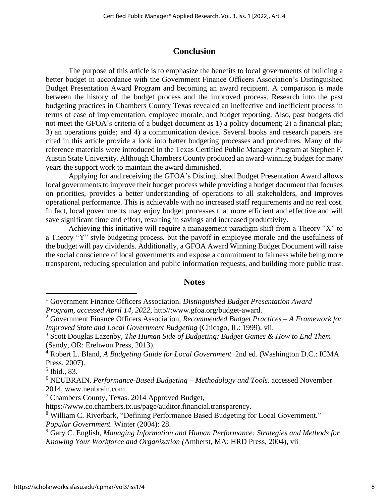# **Conclusion**

The purpose of this article is to emphasize the benefits to local governments of building a better budget in accordance with the Government Finance Officers Association's Distinguished Budget Presentation Award Program and becoming an award recipient. A comparison is made between the history of the budget process and the improved process. Research into the past budgeting practices in Chambers County Texas revealed an ineffective and inefficient process in terms of ease of implementation, employee morale, and budget reporting. Also, past budgets did not meet the GFOA's criteria of a budget document as 1) a policy document; 2) a financial plan; 3) an operations guide; and 4) a communication device. Several books and research papers are cited in this article provide a look into better budgeting processes and procedures. Many of the reference materials were introduced in the Texas Certified Public Manager Program at Stephen F. Austin State University. Although Chambers County produced an award-winning budget for many years the support work to maintain the award diminished.

Applying for and receiving the GFOA's Distinguished Budget Presentation Award allows local governments to improve their budget process while providing a budget document that focuses on priorities, provides a better understanding of operations to all stakeholders, and improves operational performance. This is achievable with no increased staff requirements and no real cost. In fact, local governments may enjoy budget processes that more efficient and effective and will save significant time and effort, resulting in savings and increased productivity.

Achieving this initiative will require a management paradigm shift from a Theory "X" to a Theory "Y" style budgeting process, but the payoff in employee morale and the usefulness of the budget will pay dividends. Additionally, a GFOA Award Winning Budget Document will raise the social conscience of local governments and expose a commitment to fairness while being more transparent, reducing speculation and public information requests, and building more public trust.

## **Notes**

<sup>1</sup> Government Finance Officers Association. *Distinguished Budget Presentation Award Program, accessed April 14, 2022,* http//:www.gfoa.org/budget-award.

<sup>2</sup> Government Finance Officers Association, *Recommended Budget Practices – A Framework for Improved State and Local Government Budgeting* (Chicago, IL: 1999), vii.

<sup>3</sup> Scott Douglas Lazenby, *The Human Side of Budgeting: Budget Games & How to End Them*  (Sandy, OR: Erehwon Press, 2013).

<sup>4</sup> Robert L. Bland, *A Budgeting Guide for Local Government.* 2nd ed. (Washington D.C.: ICMA Press, 2007).

<sup>5</sup> Ibid., 83.

<sup>6</sup> NEUBRAIN. *Performance-Based Budgeting – Methodology and Tools.* accessed November 2014, www.neubrain.com.

<sup>7</sup> Chambers County, Texas. 2014 Approved Budget,

https://www.co.chambers.tx.us/page/auditor.financial.transparency.

<sup>&</sup>lt;sup>8</sup> William C. Riverbark, "Defining Performance Based Budgeting for Local Government." *Popular Government.* Winter (2004): 28.

<sup>9</sup> Gary C. English, *Managing Information and Human Performance: Strategies and Methods for Knowing Your Workforce and Organization (*Amherst, MA: HRD Press, 2004), vii